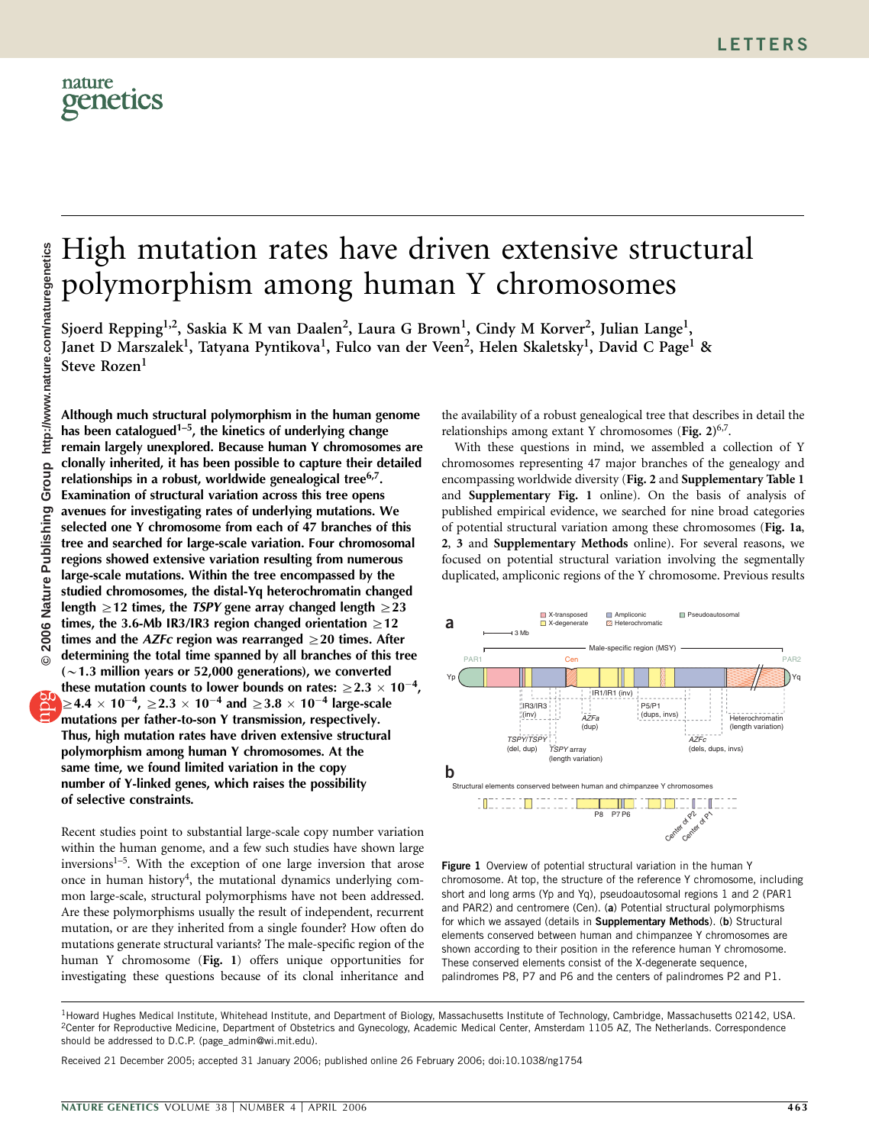

## High mutation rates have driven extensive structural polymorphism among human Y chromosomes

Sjoerd Repping<sup>1,2</sup>, Saskia K M van Daalen<sup>2</sup>, Laura G Brown<sup>1</sup>, Cindy M Korver<sup>2</sup>, Julian Lange<sup>1</sup>, Janet D Marszalek<sup>1</sup>, Tatyana Pyntikova<sup>1</sup>, Fulco van der Veen<sup>2</sup>, Helen Skaletsky<sup>1</sup>, David C Page<sup>1</sup> & Steve Rozen<sup>1</sup>

Although much structural polymorphism in the human genome has been catalogued<sup>1-5</sup>, the kinetics of underlying change remain largely unexplored. Because human Y chromosomes are clonally inherited, it has been possible to capture their detailed relationships in a robust, worldwide genealogical tree<sup>6,7</sup>. Examination of structural variation across this tree opens avenues for investigating rates of underlying mutations. We selected one Y chromosome from each of 47 branches of this tree and searched for large-scale variation. Four chromosomal regions showed extensive variation resulting from numerous large-scale mutations. Within the tree encompassed by the studied chromosomes, the distal-Yq heterochromatin changed length  $\geq$  12 times, the *TSPY* gene array changed length  $\geq$  23 times, the 3.6-Mb IR3/IR3 region changed orientation  $\geq$  12 times and the *AZFc* region was rearranged  $\geq$ 20 times. After determining the total time spanned by all branches of this tree  $(\sim 1.3$  million years or 52,000 generations), we converted

these mutation counts to lower bounds on rates:  $\geq$  2.3  $\times$  10<sup>-4</sup>,  $\geq$ 4.4  $\times$  10<sup>-4</sup>,  $\geq$ 2.3  $\times$  10<sup>-4</sup> and  $\geq$ 3.8  $\times$  10<sup>-4</sup> large-scale mutations per father-to-son Y transmission, respectively. Thus, high mutation rates have driven extensive structural polymorphism among human Y chromosomes. At the same time, we found limited variation in the copy number of Y-linked genes, which raises the possibility of selective constraints.

Recent studies point to substantial large-scale copy number variation within the human genome, and a few such studies have shown large inversions $1-5$ . With the exception of one large inversion that arose once in human history<sup>4</sup>, the mutational dynamics underlying common large-scale, structural polymorphisms have not been addressed. Are these polymorphisms usually the result of independent, recurrent mutation, or are they inherited from a single founder? How often do mutations generate structural variants? The male-specific region of the human Y chromosome (Fig. 1) offers unique opportunities for investigating these questions because of its clonal inheritance and the availability of a robust genealogical tree that describes in detail the relationships among extant Y chromosomes (Fig.  $2)^{6,7}$ .

With these questions in mind, we assembled a collection of Y chromosomes representing 47 major branches of the genealogy and encompassing worldwide diversity (Fig. 2 and Supplementary Table 1 and Supplementary Fig. 1 online). On the basis of analysis of published empirical evidence, we searched for nine broad categories of potential structural variation among these chromosomes (Fig. 1a, 2, 3 and Supplementary Methods online). For several reasons, we focused on potential structural variation involving the segmentally duplicated, ampliconic regions of the Y chromosome. Previous results



Figure 1 Overview of potential structural variation in the human Y chromosome. At top, the structure of the reference Y chromosome, including short and long arms (Yp and Yq), pseudoautosomal regions 1 and 2 (PAR1 and PAR2) and centromere (Cen). (a) Potential structural polymorphisms for which we assayed (details in Supplementary Methods). (b) Structural elements conserved between human and chimpanzee Y chromosomes are shown according to their position in the reference human Y chromosome. These conserved elements consist of the X-degenerate sequence, palindromes P8, P7 and P6 and the centers of palindromes P2 and P1.

<sup>1</sup>Howard Hughes Medical Institute, Whitehead Institute, and Department of Biology, Massachusetts Institute of Technology, Cambridge, Massachusetts 02142, USA. <sup>2</sup>Center for Reproductive Medicine, Department of Obstetrics and Gynecology, Academic Medical Center, Amsterdam 1105 AZ, The Netherlands. Correspondence should be addressed to D.C.P. (page\_admin@wi.mit.edu).

Received 21 December 2005; accepted 31 January 2006; published online 26 February 2006; doi:10.1038/ng1754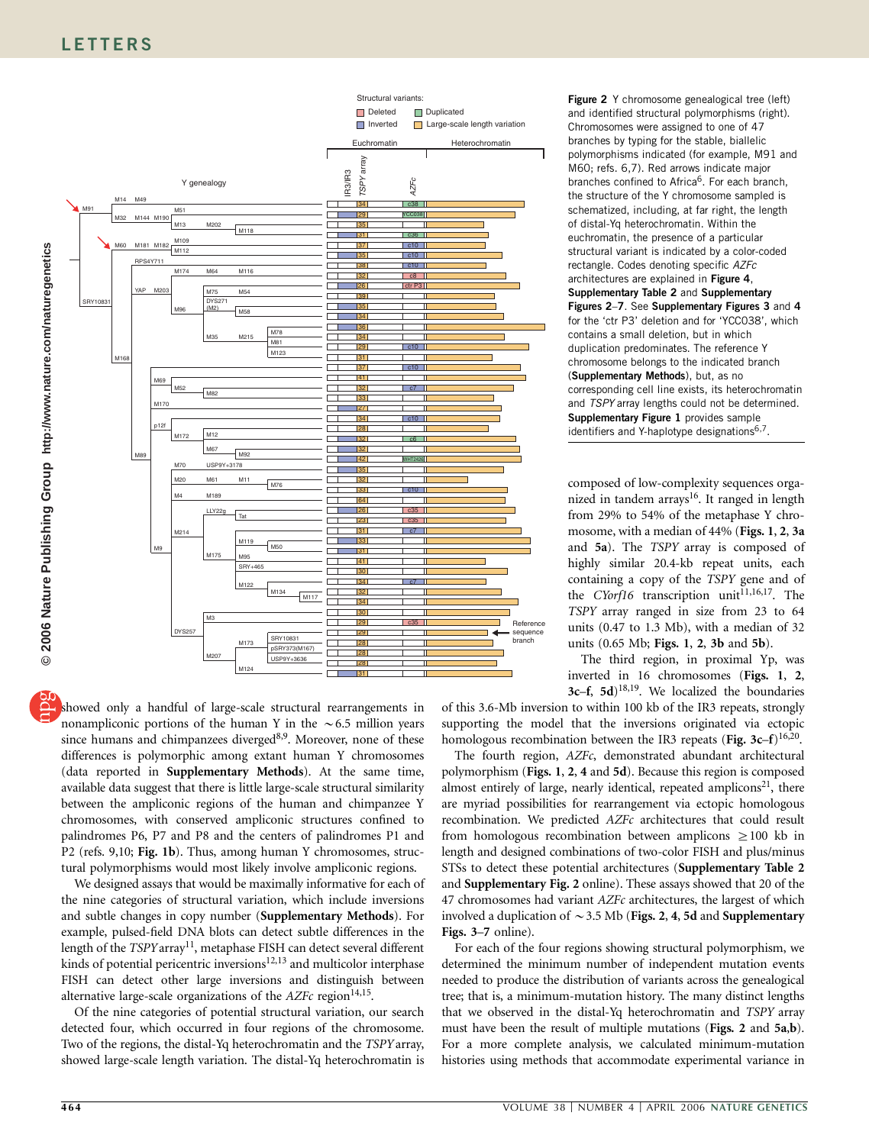

showed only a handful of large-scale structural rearrangements in nonampliconic portions of the human Y in the  $\sim 6.5$  million years since humans and chimpanzees diverged<sup>8,9</sup>. Moreover, none of these differences is polymorphic among extant human Y chromosomes (data reported in Supplementary Methods). At the same time, available data suggest that there is little large-scale structural similarity between the ampliconic regions of the human and chimpanzee Y chromosomes, with conserved ampliconic structures confined to palindromes P6, P7 and P8 and the centers of palindromes P1 and P2 (refs. 9,10; Fig. 1b). Thus, among human Y chromosomes, structural polymorphisms would most likely involve ampliconic regions.

We designed assays that would be maximally informative for each of the nine categories of structural variation, which include inversions and subtle changes in copy number (Supplementary Methods). For example, pulsed-field DNA blots can detect subtle differences in the length of the TSPY array<sup>11</sup>, metaphase FISH can detect several different kinds of potential pericentric inversions<sup>12,13</sup> and multicolor interphase FISH can detect other large inversions and distinguish between alternative large-scale organizations of the  $AZFc$  region<sup>14,15</sup>.

Of the nine categories of potential structural variation, our search detected four, which occurred in four regions of the chromosome. Two of the regions, the distal-Yq heterochromatin and the TSPYarray, showed large-scale length variation. The distal-Yq heterochromatin is

Figure 2 Y chromosome genealogical tree (left) and identified structural polymorphisms (right). Chromosomes were assigned to one of 47 branches by typing for the stable, biallelic polymorphisms indicated (for example, M91 and M60; refs. 6,7). Red arrows indicate major branches confined to Africa<sup>6</sup>. For each branch, the structure of the Y chromosome sampled is schematized, including, at far right, the length of distal-Yq heterochromatin. Within the euchromatin, the presence of a particular structural variant is indicated by a color-coded rectangle. Codes denoting specific AZFc architectures are explained in Figure 4, Supplementary Table 2 and Supplementary Figures 2–7. See Supplementary Figures 3 and 4 for the 'ctr P3' deletion and for 'YCC038', which contains a small deletion, but in which duplication predominates. The reference Y chromosome belongs to the indicated branch (Supplementary Methods), but, as no corresponding cell line exists, its heterochromatin and TSPY array lengths could not be determined. Supplementary Figure 1 provides sample identifiers and Y-haplotype designations<sup>6,7</sup>.

composed of low-complexity sequences organized in tandem arrays<sup>16</sup>. It ranged in length from 29% to 54% of the metaphase Y chromosome, with a median of 44% (Figs. 1, 2, 3a and 5a). The TSPY array is composed of highly similar 20.4-kb repeat units, each containing a copy of the TSPY gene and of the CYorf16 transcription unit<sup>11,16,17</sup>. The TSPY array ranged in size from 23 to 64 units (0.47 to 1.3 Mb), with a median of 32 units (0.65 Mb; Figs. 1, 2, 3b and 5b).

The third region, in proximal Yp, was inverted in 16 chromosomes (Figs. 1, 2, 3c–f, 5d)<sup>18,19</sup>. We localized the boundaries

of this 3.6-Mb inversion to within 100 kb of the IR3 repeats, strongly supporting the model that the inversions originated via ectopic homologous recombination between the IR3 repeats (Fig. 3c–f)<sup>16,20</sup>.

The fourth region, AZFc, demonstrated abundant architectural polymorphism (Figs. 1, 2, 4 and 5d). Because this region is composed almost entirely of large, nearly identical, repeated amplicons $21$ , there are myriad possibilities for rearrangement via ectopic homologous recombination. We predicted AZFc architectures that could result from homologous recombination between amplicons  $\geq 100$  kb in length and designed combinations of two-color FISH and plus/minus STSs to detect these potential architectures (Supplementary Table 2 and Supplementary Fig. 2 online). These assays showed that 20 of the 47 chromosomes had variant AZFc architectures, the largest of which involved a duplication of  $\sim$  3.5 Mb (Figs. 2, 4, 5d and Supplementary Figs. 3–7 online).

For each of the four regions showing structural polymorphism, we determined the minimum number of independent mutation events needed to produce the distribution of variants across the genealogical tree; that is, a minimum-mutation history. The many distinct lengths that we observed in the distal-Yq heterochromatin and TSPY array must have been the result of multiple mutations (Figs. 2 and 5a,b). For a more complete analysis, we calculated minimum-mutation histories using methods that accommodate experimental variance in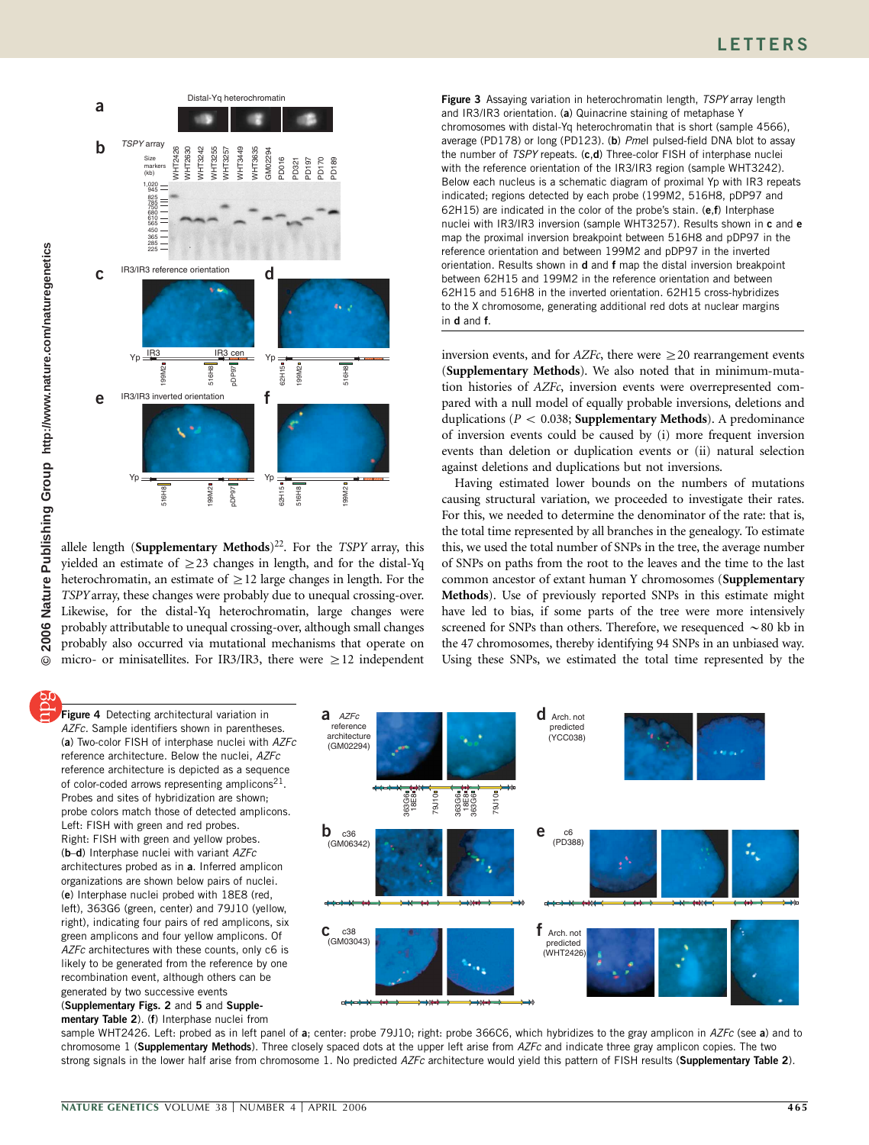

allele length (Supplementary Methods)<sup>22</sup>. For the TSPY array, this yielded an estimate of  $\geq$  23 changes in length, and for the distal-Yq heterochromatin, an estimate of  $\geq$  12 large changes in length. For the TSPYarray, these changes were probably due to unequal crossing-over. Likewise, for the distal-Yq heterochromatin, large changes were probably attributable to unequal crossing-over, although small changes probably also occurred via mutational mechanisms that operate on micro- or minisatellites. For IR3/IR3, there were  $\geq$  12 independent

Figure 3 Assaying variation in heterochromatin length, TSPY array length and IR3/IR3 orientation. (a) Quinacrine staining of metaphase Y chromosomes with distal-Yq heterochromatin that is short (sample 4566), average (PD178) or long (PD123). (b) Pmel pulsed-field DNA blot to assay the number of TSPY repeats. (c,d) Three-color FISH of interphase nuclei with the reference orientation of the IR3/IR3 region (sample WHT3242). Below each nucleus is a schematic diagram of proximal Yp with IR3 repeats indicated; regions detected by each probe (199M2, 516H8, pDP97 and 62H15) are indicated in the color of the probe's stain. (e,f) Interphase nuclei with IR3/IR3 inversion (sample WHT3257). Results shown in c and e map the proximal inversion breakpoint between 516H8 and pDP97 in the reference orientation and between 199M2 and pDP97 in the inverted orientation. Results shown in d and f map the distal inversion breakpoint between 62H15 and 199M2 in the reference orientation and between 62H15 and 516H8 in the inverted orientation. 62H15 cross-hybridizes to the X chromosome, generating additional red dots at nuclear margins in d and f.

inversion events, and for  $AZFc$ , there were  $\geq 20$  rearrangement events (Supplementary Methods). We also noted that in minimum-mutation histories of AZFc, inversion events were overrepresented compared with a null model of equally probable inversions, deletions and duplications (P < 0.038; **Supplementary Methods**). A predominance of inversion events could be caused by (i) more frequent inversion events than deletion or duplication events or (ii) natural selection against deletions and duplications but not inversions.

Having estimated lower bounds on the numbers of mutations causing structural variation, we proceeded to investigate their rates. For this, we needed to determine the denominator of the rate: that is, the total time represented by all branches in the genealogy. To estimate this, we used the total number of SNPs in the tree, the average number of SNPs on paths from the root to the leaves and the time to the last common ancestor of extant human Y chromosomes (Supplementary Methods). Use of previously reported SNPs in this estimate might have led to bias, if some parts of the tree were more intensively screened for SNPs than others. Therefore, we resequenced  $\sim$  80 kb in the 47 chromosomes, thereby identifying 94 SNPs in an unbiased way. Using these SNPs, we estimated the total time represented by the

**Figure 4** Detecting architectural variation in AZFc. Sample identifiers shown in parentheses. (a) Two-color FISH of interphase nuclei with AZFc reference architecture. Below the nuclei, AZFc reference architecture is depicted as a sequence of color-coded arrows representing amplicons<sup>21</sup>. Probes and sites of hybridization are shown; probe colors match those of detected amplicons. Left: FISH with green and red probes. Right: FISH with green and yellow probes. (b-d) Interphase nuclei with variant AZFc architectures probed as in a. Inferred amplicon organizations are shown below pairs of nuclei. (e) Interphase nuclei probed with 18E8 (red, left), 363G6 (green, center) and 79J10 (yellow, right), indicating four pairs of red amplicons, six green amplicons and four yellow amplicons. Of AZFc architectures with these counts, only c6 is likely to be generated from the reference by one recombination event, although others can be generated by two successive events (Supplementary Figs. 2 and 5 and Supplementary Table 2). (f) Interphase nuclei from



sample WHT2426. Left: probed as in left panel of a; center: probe 79J10; right: probe 366C6, which hybridizes to the gray amplicon in AZFc (see a) and to chromosome 1 (Supplementary Methods). Three closely spaced dots at the upper left arise from AZFc and indicate three gray amplicon copies. The two strong signals in the lower half arise from chromosome 1. No predicted AZFc architecture would yield this pattern of FISH results (Supplementary Table 2).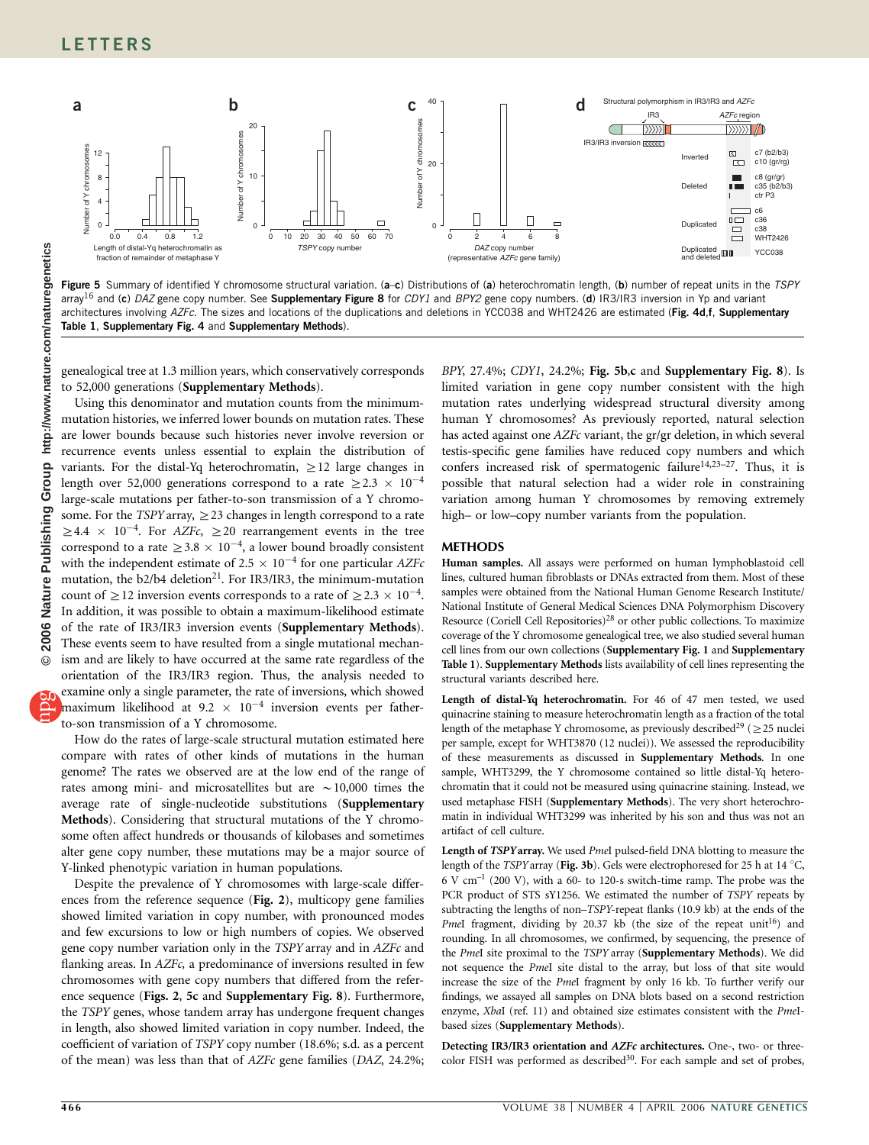

Figure 5 Summary of identified Y chromosome structural variation. (a-c) Distributions of (a) heterochromatin length, (b) number of repeat units in the TSPY array<sup>16</sup> and (c) DAZ gene copy number. See Supplementary Figure 8 for CDY1 and BPY2 gene copy numbers. (d) IR3/IR3 inversion in Yp and variant architectures involving AZFc. The sizes and locations of the duplications and deletions in YCC038 and WHT2426 are estimated (Fig. 4d,f, Supplementary Table 1, Supplementary Fig. 4 and Supplementary Methods).

genealogical tree at 1.3 million years, which conservatively corresponds to 52,000 generations (Supplementary Methods).

Using this denominator and mutation counts from the minimummutation histories, we inferred lower bounds on mutation rates. These are lower bounds because such histories never involve reversion or recurrence events unless essential to explain the distribution of variants. For the distal-Yq heterochromatin,  $\geq$  12 large changes in length over 52,000 generations correspond to a rate  $\geq$  2.3  $\times$  10<sup>-4</sup> large-scale mutations per father-to-son transmission of a Y chromosome. For the TSPY array,  $\geq$  23 changes in length correspond to a rate  $\geq 4.4 \times 10^{-4}$ . For AZFc,  $\geq 20$  rearrangement events in the tree correspond to a rate  $\geq 3.8 \times 10^{-4}$ , a lower bound broadly consistent with the independent estimate of 2.5  $\times$  10<sup>-4</sup> for one particular AZFc mutation, the  $b2/b4$  deletion<sup>21</sup>. For IR3/IR3, the minimum-mutation count of  $\geq$  12 inversion events corresponds to a rate of  $\geq$  2.3  $\times$  10<sup>-4</sup>. In addition, it was possible to obtain a maximum-likelihood estimate of the rate of IR3/IR3 inversion events (Supplementary Methods). These events seem to have resulted from a single mutational mechanism and are likely to have occurred at the same rate regardless of the orientation of the IR3/IR3 region. Thus, the analysis needed to examine only a single parameter, the rate of inversions, which showed maximum likelihood at 9.2  $\times$  10<sup>-4</sup> inversion events per fatherto-son transmission of a Y chromosome.

How do the rates of large-scale structural mutation estimated here compare with rates of other kinds of mutations in the human genome? The rates we observed are at the low end of the range of rates among mini- and microsatellites but are  $\sim$  10,000 times the average rate of single-nucleotide substitutions (Supplementary Methods). Considering that structural mutations of the Y chromosome often affect hundreds or thousands of kilobases and sometimes alter gene copy number, these mutations may be a major source of Y-linked phenotypic variation in human populations.

Despite the prevalence of Y chromosomes with large-scale differences from the reference sequence (Fig. 2), multicopy gene families showed limited variation in copy number, with pronounced modes and few excursions to low or high numbers of copies. We observed gene copy number variation only in the TSPY array and in AZFc and flanking areas. In *AZFc*, a predominance of inversions resulted in few chromosomes with gene copy numbers that differed from the reference sequence (Figs. 2, 5c and Supplementary Fig. 8). Furthermore, the TSPY genes, whose tandem array has undergone frequent changes in length, also showed limited variation in copy number. Indeed, the coefficient of variation of TSPY copy number (18.6%; s.d. as a percent of the mean) was less than that of AZFc gene families (DAZ, 24.2%;

BPY, 27.4%; CDY1, 24.2%; Fig. 5b,c and Supplementary Fig. 8). Is limited variation in gene copy number consistent with the high mutation rates underlying widespread structural diversity among human Y chromosomes? As previously reported, natural selection has acted against one AZFc variant, the gr/gr deletion, in which several testis-specific gene families have reduced copy numbers and which confers increased risk of spermatogenic failure $14,23-27$ . Thus, it is possible that natural selection had a wider role in constraining variation among human Y chromosomes by removing extremely high– or low–copy number variants from the population.

## METHODS

Human samples. All assays were performed on human lymphoblastoid cell lines, cultured human fibroblasts or DNAs extracted from them. Most of these samples were obtained from the National Human Genome Research Institute/ National Institute of General Medical Sciences DNA Polymorphism Discovery Resource (Coriell Cell Repositories)<sup>28</sup> or other public collections. To maximize coverage of the Y chromosome genealogical tree, we also studied several human cell lines from our own collections (Supplementary Fig. 1 and Supplementary Table 1). Supplementary Methods lists availability of cell lines representing the structural variants described here.

Length of distal-Yq heterochromatin. For 46 of 47 men tested, we used quinacrine staining to measure heterochromatin length as a fraction of the total length of the metaphase Y chromosome, as previously described<sup>29</sup> ( $\geq$  25 nuclei per sample, except for WHT3870 (12 nuclei)). We assessed the reproducibility of these measurements as discussed in Supplementary Methods. In one sample, WHT3299, the Y chromosome contained so little distal-Yq heterochromatin that it could not be measured using quinacrine staining. Instead, we used metaphase FISH (Supplementary Methods). The very short heterochromatin in individual WHT3299 was inherited by his son and thus was not an artifact of cell culture.

Length of TSPYarray. We used PmeI pulsed-field DNA blotting to measure the length of the TSPY array (Fig. 3b). Gels were electrophoresed for 25 h at 14 °C, 6 V cm–1 (200 V), with a 60- to 120-s switch-time ramp. The probe was the PCR product of STS sY1256. We estimated the number of TSPY repeats by subtracting the lengths of non–TSPY-repeat flanks (10.9 kb) at the ends of the PmeI fragment, dividing by 20.37 kb (the size of the repeat  $unit^{16}$ ) and rounding. In all chromosomes, we confirmed, by sequencing, the presence of the PmeI site proximal to the TSPY array (Supplementary Methods). We did not sequence the PmeI site distal to the array, but loss of that site would increase the size of the PmeI fragment by only 16 kb. To further verify our findings, we assayed all samples on DNA blots based on a second restriction enzyme, XbaI (ref. 11) and obtained size estimates consistent with the PmeIbased sizes (Supplementary Methods).

Detecting IR3/IR3 orientation and AZFc architectures. One-, two- or threecolor FISH was performed as described<sup>30</sup>. For each sample and set of probes,